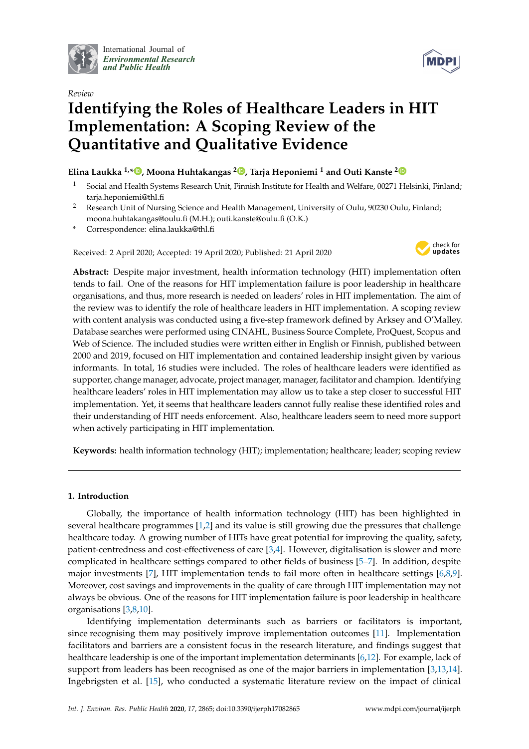

International Journal of *[Environmental Research](http://www.mdpi.com/journal/ijerph) and Public Health*



# *Review* **Identifying the Roles of Healthcare Leaders in HIT Implementation: A Scoping Review of the Quantitative and Qualitative Evidence**

### **Elina Laukka 1,\* [,](https://orcid.org/0000-0003-3959-8591) Moona Huhtakangas <sup>2</sup> [,](https://orcid.org/0000-0002-5998-883X) Tarja Heponiemi <sup>1</sup> and Outi Kanste [2](https://orcid.org/0000-0001-8634-0628)**

- <sup>1</sup> Social and Health Systems Research Unit, Finnish Institute for Health and Welfare, 00271 Helsinki, Finland; tarja.heponiemi@thl.fi
- <sup>2</sup> Research Unit of Nursing Science and Health Management, University of Oulu, 90230 Oulu, Finland; moona.huhtakangas@oulu.fi (M.H.); outi.kanste@oulu.fi (O.K.)
- **\*** Correspondence: elina.laukka@thl.fi

Received: 2 April 2020; Accepted: 19 April 2020; Published: 21 April 2020



**Abstract:** Despite major investment, health information technology (HIT) implementation often tends to fail. One of the reasons for HIT implementation failure is poor leadership in healthcare organisations, and thus, more research is needed on leaders' roles in HIT implementation. The aim of the review was to identify the role of healthcare leaders in HIT implementation. A scoping review with content analysis was conducted using a five-step framework defined by Arksey and O'Malley. Database searches were performed using CINAHL, Business Source Complete, ProQuest, Scopus and Web of Science. The included studies were written either in English or Finnish, published between 2000 and 2019, focused on HIT implementation and contained leadership insight given by various informants. In total, 16 studies were included. The roles of healthcare leaders were identified as supporter, change manager, advocate, project manager, manager, facilitator and champion. Identifying healthcare leaders' roles in HIT implementation may allow us to take a step closer to successful HIT implementation. Yet, it seems that healthcare leaders cannot fully realise these identified roles and their understanding of HIT needs enforcement. Also, healthcare leaders seem to need more support when actively participating in HIT implementation.

**Keywords:** health information technology (HIT); implementation; healthcare; leader; scoping review

#### **1. Introduction**

Globally, the importance of health information technology (HIT) has been highlighted in several healthcare programmes [\[1](#page-11-0)[,2\]](#page-11-1) and its value is still growing due the pressures that challenge healthcare today. A growing number of HITs have great potential for improving the quality, safety, patient-centredness and cost-effectiveness of care [\[3,](#page-11-2)[4\]](#page-11-3). However, digitalisation is slower and more complicated in healthcare settings compared to other fields of business [\[5](#page-11-4)[–7\]](#page-11-5). In addition, despite major investments [\[7\]](#page-11-5), HIT implementation tends to fail more often in healthcare settings [\[6,](#page-11-6)[8,](#page-11-7)[9\]](#page-11-8). Moreover, cost savings and improvements in the quality of care through HIT implementation may not always be obvious. One of the reasons for HIT implementation failure is poor leadership in healthcare organisations [\[3,](#page-11-2)[8,](#page-11-7)[10\]](#page-12-0).

Identifying implementation determinants such as barriers or facilitators is important, since recognising them may positively improve implementation outcomes [\[11\]](#page-12-1). Implementation facilitators and barriers are a consistent focus in the research literature, and findings suggest that healthcare leadership is one of the important implementation determinants [\[6](#page-11-6)[,12\]](#page-12-2). For example, lack of support from leaders has been recognised as one of the major barriers in implementation [\[3,](#page-11-2)[13,](#page-12-3)[14\]](#page-12-4). Ingebrigsten et al. [\[15\]](#page-12-5), who conducted a systematic literature review on the impact of clinical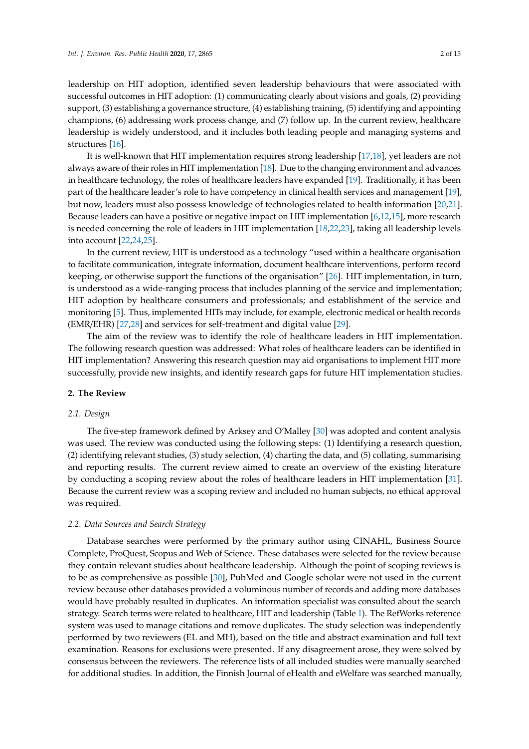leadership on HIT adoption, identified seven leadership behaviours that were associated with successful outcomes in HIT adoption: (1) communicating clearly about visions and goals, (2) providing support, (3) establishing a governance structure, (4) establishing training, (5) identifying and appointing champions, (6) addressing work process change, and (7) follow up. In the current review, healthcare leadership is widely understood, and it includes both leading people and managing systems and structures [\[16\]](#page-12-6).

It is well-known that HIT implementation requires strong leadership [\[17](#page-12-7)[,18\]](#page-12-8), yet leaders are not always aware of their roles in HIT implementation [\[18\]](#page-12-8). Due to the changing environment and advances in healthcare technology, the roles of healthcare leaders have expanded [\[19\]](#page-12-9). Traditionally, it has been part of the healthcare leader's role to have competency in clinical health services and management [\[19\]](#page-12-9), but now, leaders must also possess knowledge of technologies related to health information [\[20,](#page-12-10)[21\]](#page-12-11). Because leaders can have a positive or negative impact on HIT implementation [\[6,](#page-11-6)[12](#page-12-2)[,15\]](#page-12-5), more research is needed concerning the role of leaders in HIT implementation [\[18,](#page-12-8)[22,](#page-12-12)[23\]](#page-12-13), taking all leadership levels into account [\[22](#page-12-12)[,24](#page-12-14)[,25\]](#page-12-15).

In the current review, HIT is understood as a technology "used within a healthcare organisation to facilitate communication, integrate information, document healthcare interventions, perform record keeping, or otherwise support the functions of the organisation" [\[26\]](#page-12-16). HIT implementation, in turn, is understood as a wide-ranging process that includes planning of the service and implementation; HIT adoption by healthcare consumers and professionals; and establishment of the service and monitoring [\[5\]](#page-11-4). Thus, implemented HITs may include, for example, electronic medical or health records (EMR/EHR) [\[27,](#page-12-17)[28\]](#page-12-18) and services for self-treatment and digital value [\[29\]](#page-12-19).

The aim of the review was to identify the role of healthcare leaders in HIT implementation. The following research question was addressed: What roles of healthcare leaders can be identified in HIT implementation? Answering this research question may aid organisations to implement HIT more successfully, provide new insights, and identify research gaps for future HIT implementation studies.

#### **2. The Review**

#### *2.1. Design*

The five-step framework defined by Arksey and O'Malley [\[30\]](#page-12-20) was adopted and content analysis was used. The review was conducted using the following steps: (1) Identifying a research question, (2) identifying relevant studies, (3) study selection, (4) charting the data, and (5) collating, summarising and reporting results. The current review aimed to create an overview of the existing literature by conducting a scoping review about the roles of healthcare leaders in HIT implementation [\[31\]](#page-13-0). Because the current review was a scoping review and included no human subjects, no ethical approval was required.

#### *2.2. Data Sources and Search Strategy*

Database searches were performed by the primary author using CINAHL, Business Source Complete, ProQuest, Scopus and Web of Science. These databases were selected for the review because they contain relevant studies about healthcare leadership. Although the point of scoping reviews is to be as comprehensive as possible [\[30\]](#page-12-20), PubMed and Google scholar were not used in the current review because other databases provided a voluminous number of records and adding more databases would have probably resulted in duplicates. An information specialist was consulted about the search strategy. Search terms were related to healthcare, HIT and leadership (Table [1\)](#page-2-0). The RefWorks reference system was used to manage citations and remove duplicates. The study selection was independently performed by two reviewers (EL and MH), based on the title and abstract examination and full text examination. Reasons for exclusions were presented. If any disagreement arose, they were solved by consensus between the reviewers. The reference lists of all included studies were manually searched for additional studies. In addition, the Finnish Journal of eHealth and eWelfare was searched manually,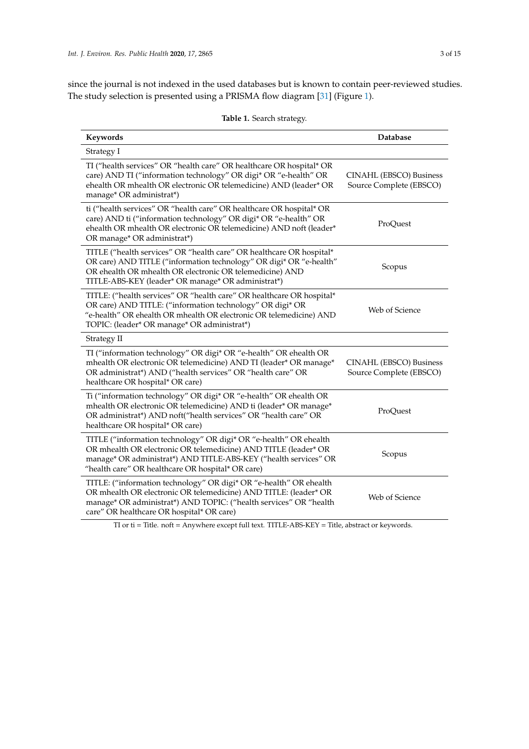since the journal is not indexed in the used databases but is known to contain peer-reviewed studies. The study selection is presented using a PRISMA flow diagram [\[31\]](#page-13-0) (Figure [1\)](#page-3-0).

<span id="page-2-0"></span>

| Keywords                                                                                                                                                                                                                                                      | <b>Database</b>                                    |
|---------------------------------------------------------------------------------------------------------------------------------------------------------------------------------------------------------------------------------------------------------------|----------------------------------------------------|
| Strategy I                                                                                                                                                                                                                                                    |                                                    |
| TI ("health services" OR "health care" OR healthcare OR hospital* OR<br>care) AND TI ("information technology" OR digi* OR "e-health" OR<br>ehealth OR mhealth OR electronic OR telemedicine) AND (leader* OR<br>manage* OR administrat*)                     | CINAHL (EBSCO) Business<br>Source Complete (EBSCO) |
| ti ("health services" OR "health care" OR healthcare OR hospital* OR<br>care) AND ti ("information technology" OR digi* OR "e-health" OR<br>ehealth OR mhealth OR electronic OR telemedicine) AND noft (leader*<br>OR manage* OR administrat*)                | ProQuest                                           |
| TITLE ("health services" OR "health care" OR healthcare OR hospital*<br>OR care) AND TITLE ("information technology" OR digi* OR "e-health"<br>OR ehealth OR mhealth OR electronic OR telemedicine) AND<br>TITLE-ABS-KEY (leader* OR manage* OR administrat*) | Scopus                                             |
| TITLE: ("health services" OR "health care" OR healthcare OR hospital*<br>OR care) AND TITLE: ("information technology" OR digi* OR<br>"e-health" OR ehealth OR mhealth OR electronic OR telemedicine) AND<br>TOPIC: (leader* OR manage* OR administrat*)      | Web of Science                                     |
| Strategy II                                                                                                                                                                                                                                                   |                                                    |
| TI ("information technology" OR digi* OR "e-health" OR ehealth OR<br>mhealth OR electronic OR telemedicine) AND TI (leader* OR manage*<br>OR administrat*) AND ("health services" OR "health care" OR<br>healthcare OR hospital* OR care)                     | CINAHL (EBSCO) Business<br>Source Complete (EBSCO) |
| Ti ("information technology" OR digi* OR "e-health" OR ehealth OR<br>mhealth OR electronic OR telemedicine) AND ti (leader* OR manage*<br>OR administrat*) AND noft("health services" OR "health care" OR<br>healthcare OR hospital* OR care)                 | ProQuest                                           |
| TITLE ("information technology" OR digi* OR "e-health" OR ehealth<br>OR mhealth OR electronic OR telemedicine) AND TITLE (leader* OR<br>manage* OR administrat*) AND TITLE-ABS-KEY ("health services" OR<br>"health care" OR healthcare OR hospital* OR care) | Scopus                                             |
| TITLE: ("information technology" OR digi* OR "e-health" OR ehealth<br>OR mhealth OR electronic OR telemedicine) AND TITLE: (leader* OR<br>manage* OR administrat*) AND TOPIC: ("health services" OR "health<br>care" OR healthcare OR hospital* OR care)      | Web of Science                                     |

**Table 1.** Search strategy.

TI or ti = Title. noft = Anywhere except full text. TITLE-ABS-KEY = Title, abstract or keywords.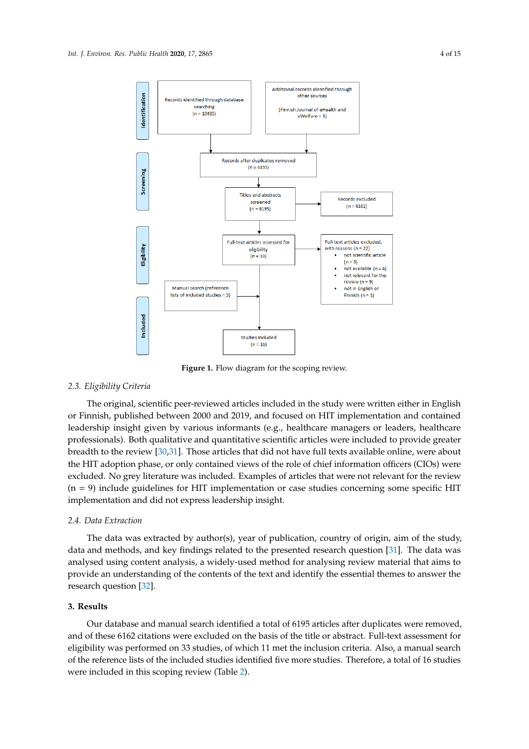<span id="page-3-0"></span>

**Figure 1.** Flow diagram for the scoping review. **Figure 1.** Flow diagram for the scoping review.

## *2.3. Eligibility Criteria 2.3. Eligibility Criteria*

The original, scientific peer-reviewed articles included in the study were written either in The original, scientific peer-reviewed articles included in the study were written either in English or Finnish, published between 2000 and 2019, and focused on HIT implementation and contained leadership insight given by various informants (e.g., healthcare managers or leaders, healthcare professionals). Both qualitative and quantitative scientific articles were included to provide greater breadth to the review [\[30](#page-12-20)[,31\]](#page-13-0). Those articles that did not have full texts available online, were about the HIT adoption phase, or only contained views of the role of chief information officers (CIOs) were excluded. No grey literature was included. Examples of articles that were not relevant for the review (n = 9) include guidelines for HIT implementation or case studies concerning some specific HIT implementation and did not express leadership insight.

#### *2.4. Data Extraction*

The data was extracted by author(s), year of publication, country of origin, aim of the study, data and methods, and key findings related to the presented research question [\[31\]](#page-13-0). The data was analysed using content analysis, a widely-used method for analysing review material that aims to provide an understanding of the contents of the text and identify the essential themes to answer the research question [\[32\]](#page-13-1).

#### **3. Results**

Our database and manual search identified a total of 6195 articles after duplicates were removed, and of these 6162 citations were excluded on the basis of the title or abstract. Full-text assessment for eligibility was performed on 33 studies, of which 11 met the inclusion criteria. Also, a manual search of the reference lists of the included studies identified five more studies. Therefore, a total of 16 studies were included in this scoping review (Table [2\)](#page-4-0).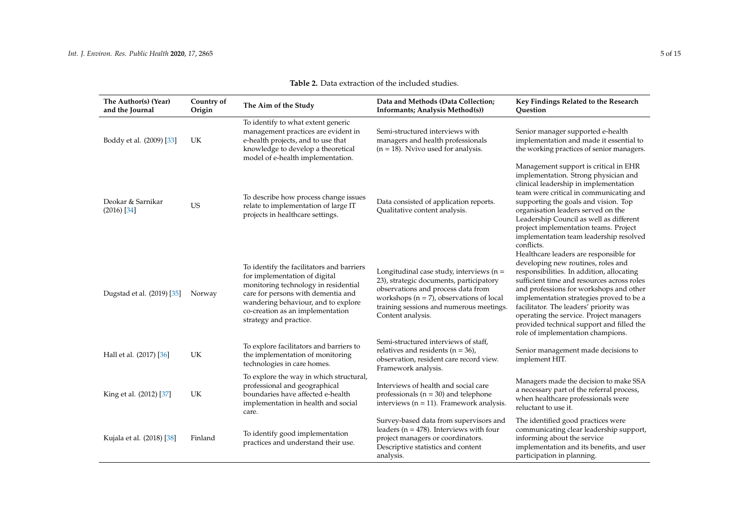<span id="page-4-0"></span>

| The Author(s) (Year)<br>and the Journal | Country of<br>Origin | The Aim of the Study                                                                                                                                                                                                                                          | Data and Methods (Data Collection;<br>Informants; Analysis Method(s))                                                                                                                                                                         | Key Findings Related to the Research<br>Ouestion                                                                                                                                                                                                                                                                                                                                                                                      |
|-----------------------------------------|----------------------|---------------------------------------------------------------------------------------------------------------------------------------------------------------------------------------------------------------------------------------------------------------|-----------------------------------------------------------------------------------------------------------------------------------------------------------------------------------------------------------------------------------------------|---------------------------------------------------------------------------------------------------------------------------------------------------------------------------------------------------------------------------------------------------------------------------------------------------------------------------------------------------------------------------------------------------------------------------------------|
| Boddy et al. (2009) [33]                | UK                   | To identify to what extent generic<br>management practices are evident in<br>e-health projects, and to use that<br>knowledge to develop a theoretical<br>model of e-health implementation.                                                                    | Semi-structured interviews with<br>managers and health professionals<br>$(n = 18)$ . Nvivo used for analysis.                                                                                                                                 | Senior manager supported e-health<br>implementation and made it essential to<br>the working practices of senior managers.                                                                                                                                                                                                                                                                                                             |
| Deokar & Sarnikar<br>$(2016)$ [34]      | <b>US</b>            | To describe how process change issues<br>relate to implementation of large IT<br>projects in healthcare settings.                                                                                                                                             | Data consisted of application reports.<br>Qualitative content analysis.                                                                                                                                                                       | Management support is critical in EHR<br>implementation. Strong physician and<br>clinical leadership in implementation<br>team were critical in communicating and<br>supporting the goals and vision. Top<br>organisation leaders served on the<br>Leadership Council as well as different<br>project implementation teams. Project<br>implementation team leadership resolved<br>conflicts.                                          |
| Dugstad et al. (2019) [35]              | Norway               | To identify the facilitators and barriers<br>for implementation of digital<br>monitoring technology in residential<br>care for persons with dementia and<br>wandering behaviour, and to explore<br>co-creation as an implementation<br>strategy and practice. | Longitudinal case study, interviews ( $n =$<br>23), strategic documents, participatory<br>observations and process data from<br>workshops ( $n = 7$ ), observations of local<br>training sessions and numerous meetings.<br>Content analysis. | Healthcare leaders are responsible for<br>developing new routines, roles and<br>responsibilities. In addition, allocating<br>sufficient time and resources across roles<br>and professions for workshops and other<br>implementation strategies proved to be a<br>facilitator. The leaders' priority was<br>operating the service. Project managers<br>provided technical support and filled the<br>role of implementation champions. |
| Hall et al. (2017) [36]                 | UK                   | To explore facilitators and barriers to<br>the implementation of monitoring<br>technologies in care homes.                                                                                                                                                    | Semi-structured interviews of staff,<br>relatives and residents ( $n = 36$ ),<br>observation, resident care record view.<br>Framework analysis.                                                                                               | Senior management made decisions to<br>implement HIT.                                                                                                                                                                                                                                                                                                                                                                                 |
| King et al. (2012) [37]                 | UK                   | To explore the way in which structural,<br>professional and geographical<br>boundaries have affected e-health<br>implementation in health and social<br>care.                                                                                                 | Interviews of health and social care<br>professionals ( $n = 30$ ) and telephone<br>interviews ( $n = 11$ ). Framework analysis.                                                                                                              | Managers made the decision to make SSA<br>a necessary part of the referral process,<br>when healthcare professionals were<br>reluctant to use it.                                                                                                                                                                                                                                                                                     |
| Kujala et al. (2018) [38]               | Finland              | To identify good implementation<br>practices and understand their use.                                                                                                                                                                                        | Survey-based data from supervisors and<br>leaders ( $n = 478$ ). Interviews with four<br>project managers or coordinators.<br>Descriptive statistics and content<br>analysis.                                                                 | The identified good practices were<br>communicating clear leadership support,<br>informing about the service<br>implementation and its benefits, and user<br>participation in planning.                                                                                                                                                                                                                                               |

#### **Table 2.** Data extraction of the included studies.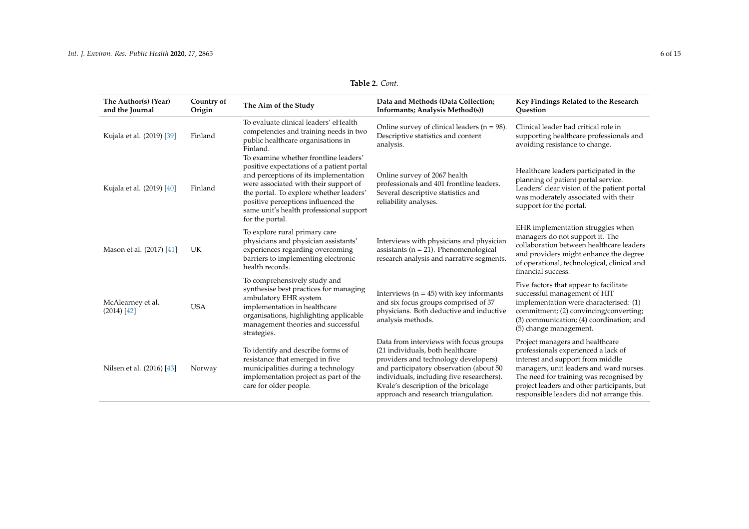| Table 2. Cont. |  |  |
|----------------|--|--|
|----------------|--|--|

| The Author(s) (Year)<br>and the Journal | Country of<br>Origin | The Aim of the Study                                                                                                                                                                                                                                                                                                 | Data and Methods (Data Collection;<br>Informants; Analysis Method(s))                                                                                                                                                                                                                      | Key Findings Related to the Research<br>Ouestion                                                                                                                                                                                                                                             |
|-----------------------------------------|----------------------|----------------------------------------------------------------------------------------------------------------------------------------------------------------------------------------------------------------------------------------------------------------------------------------------------------------------|--------------------------------------------------------------------------------------------------------------------------------------------------------------------------------------------------------------------------------------------------------------------------------------------|----------------------------------------------------------------------------------------------------------------------------------------------------------------------------------------------------------------------------------------------------------------------------------------------|
| Kujala et al. (2019) [39]               | Finland              | To evaluate clinical leaders' eHealth<br>competencies and training needs in two<br>public healthcare organisations in<br>Finland.                                                                                                                                                                                    | Online survey of clinical leaders ( $n = 98$ ).<br>Descriptive statistics and content<br>analysis.                                                                                                                                                                                         | Clinical leader had critical role in<br>supporting healthcare professionals and<br>avoiding resistance to change.                                                                                                                                                                            |
| Kujala et al. (2019) [40]               | Finland              | To examine whether frontline leaders'<br>positive expectations of a patient portal<br>and perceptions of its implementation<br>were associated with their support of<br>the portal. To explore whether leaders'<br>positive perceptions influenced the<br>same unit's health professional support<br>for the portal. | Online survey of 2067 health<br>professionals and 401 frontline leaders.<br>Several descriptive statistics and<br>reliability analyses.                                                                                                                                                    | Healthcare leaders participated in the<br>planning of patient portal service.<br>Leaders' clear vision of the patient portal<br>was moderately associated with their<br>support for the portal.                                                                                              |
| Mason et al. (2017) [41]                | UK                   | To explore rural primary care<br>physicians and physician assistants'<br>experiences regarding overcoming<br>barriers to implementing electronic<br>health records.                                                                                                                                                  | Interviews with physicians and physician<br>assistants ( $n = 21$ ). Phenomenological<br>research analysis and narrative segments.                                                                                                                                                         | EHR implementation struggles when<br>managers do not support it. The<br>collaboration between healthcare leaders<br>and providers might enhance the degree<br>of operational, technological, clinical and<br>financial success.                                                              |
| McAlearney et al.<br>$(2014)$ [42]      | <b>USA</b>           | To comprehensively study and<br>synthesise best practices for managing<br>ambulatory EHR system<br>implementation in healthcare<br>organisations, highlighting applicable<br>management theories and successful<br>strategies.                                                                                       | Interviews ( $n = 45$ ) with key informants<br>and six focus groups comprised of 37<br>physicians. Both deductive and inductive<br>analysis methods.                                                                                                                                       | Five factors that appear to facilitate<br>successful management of HIT<br>implementation were characterised: (1)<br>commitment; (2) convincing/converting;<br>(3) communication; (4) coordination; and<br>(5) change management.                                                             |
| Nilsen et al. (2016) [43]               | Norway               | To identify and describe forms of<br>resistance that emerged in five<br>municipalities during a technology<br>implementation project as part of the<br>care for older people.                                                                                                                                        | Data from interviews with focus groups<br>(21 individuals, both healthcare<br>providers and technology developers)<br>and participatory observation (about 50<br>individuals, including five researchers).<br>Kvale's description of the bricolage<br>approach and research triangulation. | Project managers and healthcare<br>professionals experienced a lack of<br>interest and support from middle<br>managers, unit leaders and ward nurses.<br>The need for training was recognised by<br>project leaders and other participants, but<br>responsible leaders did not arrange this. |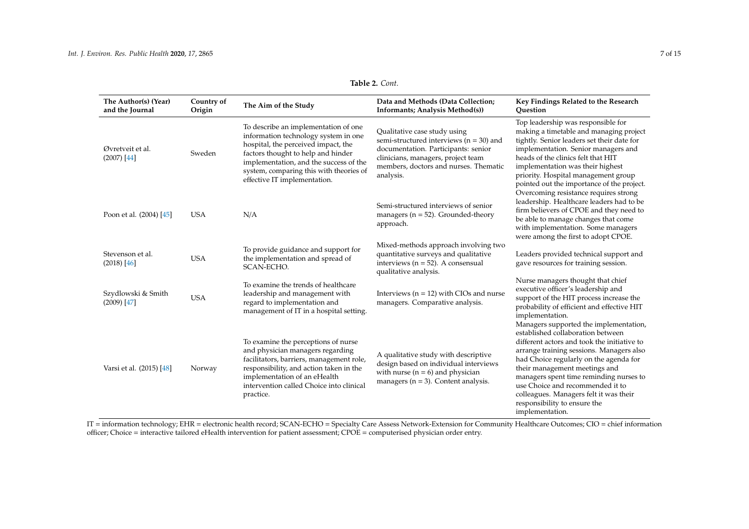| Table 2. Cont. |  |  |
|----------------|--|--|
|----------------|--|--|

| The Author(s) (Year)<br>and the Journal | Country of<br>Origin | The Aim of the Study                                                                                                                                                                                                                                                           | Data and Methods (Data Collection;<br><b>Informants</b> ; Analysis Method(s))                                                                                                                                  | Key Findings Related to the Research<br>Ouestion                                                                                                                                                                                                                                                                                                                                    |
|-----------------------------------------|----------------------|--------------------------------------------------------------------------------------------------------------------------------------------------------------------------------------------------------------------------------------------------------------------------------|----------------------------------------------------------------------------------------------------------------------------------------------------------------------------------------------------------------|-------------------------------------------------------------------------------------------------------------------------------------------------------------------------------------------------------------------------------------------------------------------------------------------------------------------------------------------------------------------------------------|
| Øvretveit et al.<br>$(2007)$ [44]       | Sweden               | To describe an implementation of one<br>information technology system in one<br>hospital, the perceived impact, the<br>factors thought to help and hinder<br>implementation, and the success of the<br>system, comparing this with theories of<br>effective IT implementation. | Qualitative case study using<br>semi-structured interviews ( $n = 30$ ) and<br>documentation. Participants: senior<br>clinicians, managers, project team<br>members, doctors and nurses. Thematic<br>analysis. | Top leadership was responsible for<br>making a timetable and managing project<br>tightly. Senior leaders set their date for<br>implementation. Senior managers and<br>heads of the clinics felt that HIT<br>implementation was their highest<br>priority. Hospital management group<br>pointed out the importance of the project.<br>Overcoming resistance requires strong          |
| Poon et al. (2004) [45]                 | <b>USA</b>           | N/A                                                                                                                                                                                                                                                                            | Semi-structured interviews of senior<br>managers ( $n = 52$ ). Grounded-theory<br>approach.                                                                                                                    | leadership. Healthcare leaders had to be<br>firm believers of CPOE and they need to<br>be able to manage changes that come<br>with implementation. Some managers<br>were among the first to adopt CPOE.                                                                                                                                                                             |
| Stevenson et al.<br>$(2018)$ [46]       | <b>USA</b>           | To provide guidance and support for<br>the implementation and spread of<br>SCAN-ECHO.                                                                                                                                                                                          | Mixed-methods approach involving two<br>quantitative surveys and qualitative<br>interviews ( $n = 52$ ). A consensual<br>qualitative analysis.                                                                 | Leaders provided technical support and<br>gave resources for training session.                                                                                                                                                                                                                                                                                                      |
| Szydlowski & Smith<br>$(2009)$ [47]     | <b>USA</b>           | To examine the trends of healthcare<br>leadership and management with<br>regard to implementation and<br>management of IT in a hospital setting.                                                                                                                               | Interviews ( $n = 12$ ) with CIOs and nurse<br>managers. Comparative analysis.                                                                                                                                 | Nurse managers thought that chief<br>executive officer's leadership and<br>support of the HIT process increase the<br>probability of efficient and effective HIT<br>implementation.<br>Managers supported the implementation,                                                                                                                                                       |
| Varsi et al. (2015) [48]                | Norway               | To examine the perceptions of nurse<br>and physician managers regarding<br>facilitators, barriers, management role,<br>responsibility, and action taken in the<br>implementation of an eHealth<br>intervention called Choice into clinical<br>practice.                        | A qualitative study with descriptive<br>design based on individual interviews<br>with nurse ( $n = 6$ ) and physician<br>managers ( $n = 3$ ). Content analysis.                                               | established collaboration between<br>different actors and took the initiative to<br>arrange training sessions. Managers also<br>had Choice regularly on the agenda for<br>their management meetings and<br>managers spent time reminding nurses to<br>use Choice and recommended it to<br>colleagues. Managers felt it was their<br>responsibility to ensure the<br>implementation. |

IT = information technology; EHR = electronic health record; SCAN-ECHO = Specialty Care Assess Network-Extension for Community Healthcare Outcomes; CIO = chief information officer; Choice = interactive tailored eHealth intervention for patient assessment; CPOE = computerised physician order entry.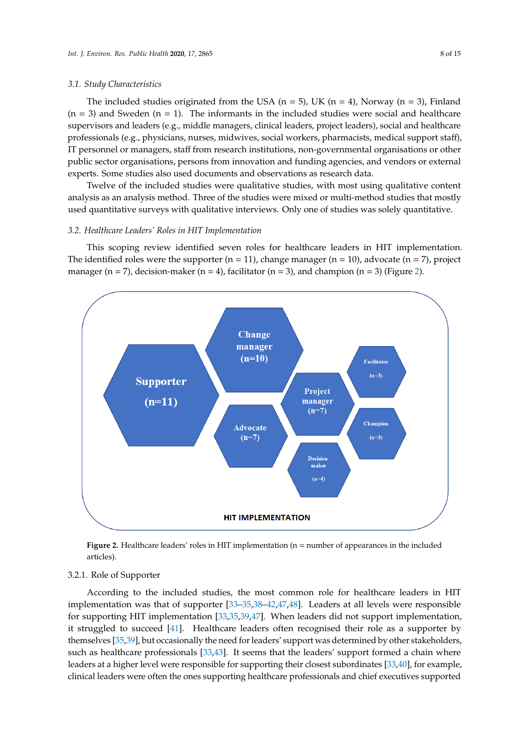#### *3.1. Study Characteristics*

The included studies originated from the USA ( $n = 5$ ), UK ( $n = 4$ ), Norway ( $n = 3$ ), Finland  $(n = 3)$  and Sweden  $(n = 1)$ . The informants in the included studies were social and healthcare supervisors and leaders (e.g., middle managers, clinical leaders, project leaders), social and healthcare professionals (e.g., physicians, nurses, midwives, social workers, pharmacists, medical support staff), IT personnel or managers, staff from research institutions, non-governmental organisations or other public sector organisations, persons from innovation and funding agencies, and vendors or external experts. Some studies also used documents and observations as research data.

Twelve of the included studies were qualitative studies, with most using qualitative content analysis as an analysis method. Three of the studies were mixed or multi-method studies that mostly used quantitative surveys with qualitative interviews. Only one of studies was solely quantitative.

#### *3.2. Healthcare Leaders' Roles in HIT Implementation*

This scoping review identified seven roles for healthcare leaders in HIT implementation. The identified roles were the supporter  $(n = 11)$ , change manager  $(n = 10)$ , advocate  $(n = 7)$ , project manager ( $n = 7$ ), decision-maker ( $n = 4$ ), facilitator ( $n = 3$ ), and champion ( $n = 3$ ) (Figure [2\)](#page-7-0).

<span id="page-7-0"></span>

**Figure 2.** Healthcare leaders' roles in HIT implementation (n = number of appearances in the included articles).

#### 3.2.1. Role of Supporter

According to the included studies, the most common role for healthcare leaders in HIT implementation was that of supporter [\[33–](#page-13-18)[35,](#page-13-12)[38](#page-13-19)[–42](#page-13-20)[,47](#page-13-21)[,48\]](#page-13-22). Leaders at all levels were responsible for supporting HIT implementation [\[33,](#page-13-18)[35,](#page-13-12)[39,](#page-13-23)[47\]](#page-13-21). When leaders did not support implementation, it struggled to succeed [\[41\]](#page-13-17). Healthcare leaders often recognised their role as a supporter by themselves [\[35,](#page-13-12)[39\]](#page-13-23), but occasionally the need for leaders' support was determined by other stakeholders, such as healthcare professionals [\[33,](#page-13-18)[43\]](#page-13-24). It seems that the leaders' support formed a chain where leaders at a higher level were responsible for supporting their closest subordinates [\[33,](#page-13-18)[40\]](#page-13-16), for example, clinical leaders were often the ones supporting healthcare professionals and chief executives supported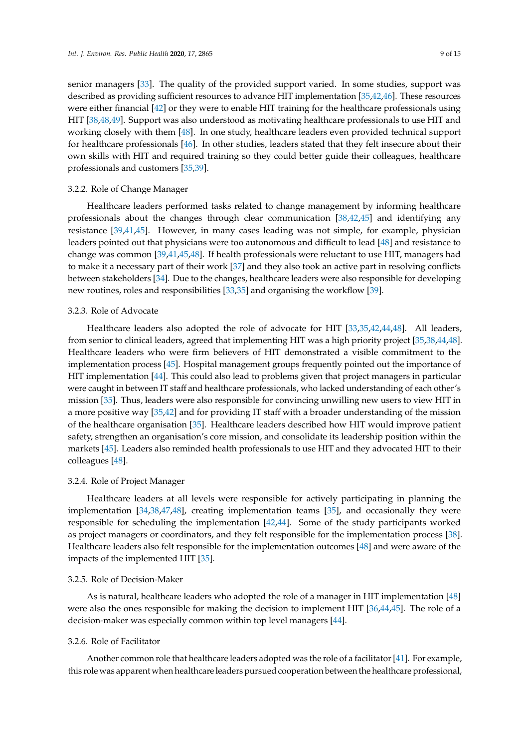senior managers [\[33\]](#page-13-18). The quality of the provided support varied. In some studies, support was described as providing sufficient resources to advance HIT implementation [\[35,](#page-13-12)[42](#page-13-20)[,46\]](#page-13-25). These resources were either financial [\[42\]](#page-13-20) or they were to enable HIT training for the healthcare professionals using HIT [\[38](#page-13-19)[,48](#page-13-22)[,49\]](#page-13-26). Support was also understood as motivating healthcare professionals to use HIT and working closely with them [\[48\]](#page-13-22). In one study, healthcare leaders even provided technical support for healthcare professionals [\[46\]](#page-13-25). In other studies, leaders stated that they felt insecure about their own skills with HIT and required training so they could better guide their colleagues, healthcare professionals and customers [\[35](#page-13-12)[,39\]](#page-13-23).

#### 3.2.2. Role of Change Manager

Healthcare leaders performed tasks related to change management by informing healthcare professionals about the changes through clear communication [\[38](#page-13-19)[,42](#page-13-20)[,45\]](#page-13-27) and identifying any resistance [\[39,](#page-13-23)[41,](#page-13-17)[45\]](#page-13-27). However, in many cases leading was not simple, for example, physician leaders pointed out that physicians were too autonomous and difficult to lead [\[48\]](#page-13-22) and resistance to change was common [\[39,](#page-13-23)[41](#page-13-17)[,45,](#page-13-27)[48\]](#page-13-22). If health professionals were reluctant to use HIT, managers had to make it a necessary part of their work [\[37\]](#page-13-28) and they also took an active part in resolving conflicts between stakeholders [\[34\]](#page-13-29). Due to the changes, healthcare leaders were also responsible for developing new routines, roles and responsibilities [\[33,](#page-13-18)[35\]](#page-13-12) and organising the workflow [\[39\]](#page-13-23).

#### 3.2.3. Role of Advocate

Healthcare leaders also adopted the role of advocate for HIT [\[33,](#page-13-18)[35,](#page-13-12)[42,](#page-13-20)[44,](#page-13-30)[48\]](#page-13-22). All leaders, from senior to clinical leaders, agreed that implementing HIT was a high priority project [\[35](#page-13-12)[,38](#page-13-19)[,44](#page-13-30)[,48\]](#page-13-22). Healthcare leaders who were firm believers of HIT demonstrated a visible commitment to the implementation process [\[45\]](#page-13-27). Hospital management groups frequently pointed out the importance of HIT implementation [\[44\]](#page-13-30). This could also lead to problems given that project managers in particular were caught in between IT staff and healthcare professionals, who lacked understanding of each other's mission [\[35\]](#page-13-12). Thus, leaders were also responsible for convincing unwilling new users to view HIT in a more positive way [\[35](#page-13-12)[,42\]](#page-13-20) and for providing IT staff with a broader understanding of the mission of the healthcare organisation [\[35\]](#page-13-12). Healthcare leaders described how HIT would improve patient safety, strengthen an organisation's core mission, and consolidate its leadership position within the markets [\[45\]](#page-13-27). Leaders also reminded health professionals to use HIT and they advocated HIT to their colleagues [\[48\]](#page-13-22).

#### 3.2.4. Role of Project Manager

Healthcare leaders at all levels were responsible for actively participating in planning the implementation [\[34,](#page-13-29)[38,](#page-13-19)[47,](#page-13-21)[48\]](#page-13-22), creating implementation teams [\[35\]](#page-13-12), and occasionally they were responsible for scheduling the implementation [\[42](#page-13-20)[,44\]](#page-13-30). Some of the study participants worked as project managers or coordinators, and they felt responsible for the implementation process [\[38\]](#page-13-19). Healthcare leaders also felt responsible for the implementation outcomes [\[48\]](#page-13-22) and were aware of the impacts of the implemented HIT [\[35\]](#page-13-12).

#### 3.2.5. Role of Decision-Maker

As is natural, healthcare leaders who adopted the role of a manager in HIT implementation [\[48\]](#page-13-22) were also the ones responsible for making the decision to implement HIT [\[36,](#page-13-31)[44,](#page-13-30)[45\]](#page-13-27). The role of a decision-maker was especially common within top level managers [\[44\]](#page-13-30).

#### 3.2.6. Role of Facilitator

Another common role that healthcare leaders adopted was the role of a facilitator [\[41\]](#page-13-17). For example, this role was apparent when healthcare leaders pursued cooperation between the healthcare professional,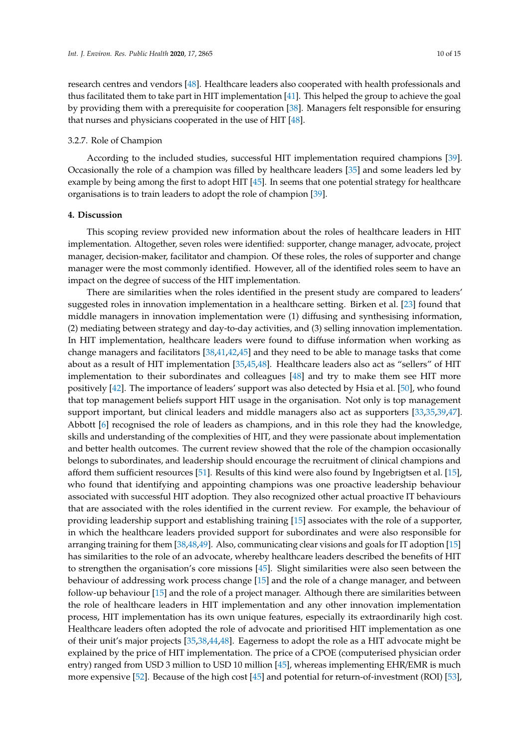research centres and vendors [\[48\]](#page-13-22). Healthcare leaders also cooperated with health professionals and thus facilitated them to take part in HIT implementation [\[41\]](#page-13-17). This helped the group to achieve the goal by providing them with a prerequisite for cooperation [\[38\]](#page-13-19). Managers felt responsible for ensuring that nurses and physicians cooperated in the use of HIT [\[48\]](#page-13-22).

#### 3.2.7. Role of Champion

According to the included studies, successful HIT implementation required champions [\[39\]](#page-13-23). Occasionally the role of a champion was filled by healthcare leaders [\[35\]](#page-13-12) and some leaders led by example by being among the first to adopt HIT [\[45\]](#page-13-27). In seems that one potential strategy for healthcare organisations is to train leaders to adopt the role of champion [\[39\]](#page-13-23).

#### **4. Discussion**

This scoping review provided new information about the roles of healthcare leaders in HIT implementation. Altogether, seven roles were identified: supporter, change manager, advocate, project manager, decision-maker, facilitator and champion. Of these roles, the roles of supporter and change manager were the most commonly identified. However, all of the identified roles seem to have an impact on the degree of success of the HIT implementation.

There are similarities when the roles identified in the present study are compared to leaders' suggested roles in innovation implementation in a healthcare setting. Birken et al. [\[23\]](#page-12-13) found that middle managers in innovation implementation were (1) diffusing and synthesising information, (2) mediating between strategy and day-to-day activities, and (3) selling innovation implementation. In HIT implementation, healthcare leaders were found to diffuse information when working as change managers and facilitators [\[38,](#page-13-19)[41,](#page-13-17)[42,](#page-13-20)[45\]](#page-13-27) and they need to be able to manage tasks that come about as a result of HIT implementation [\[35](#page-13-12)[,45](#page-13-27)[,48\]](#page-13-22). Healthcare leaders also act as "sellers" of HIT implementation to their subordinates and colleagues [\[48\]](#page-13-22) and try to make them see HIT more positively [\[42\]](#page-13-20). The importance of leaders' support was also detected by Hsia et al. [\[50\]](#page-13-32), who found that top management beliefs support HIT usage in the organisation. Not only is top management support important, but clinical leaders and middle managers also act as supporters [\[33,](#page-13-18)[35,](#page-13-12)[39,](#page-13-23)[47\]](#page-13-21). Abbott [\[6\]](#page-11-6) recognised the role of leaders as champions, and in this role they had the knowledge, skills and understanding of the complexities of HIT, and they were passionate about implementation and better health outcomes. The current review showed that the role of the champion occasionally belongs to subordinates, and leadership should encourage the recruitment of clinical champions and afford them sufficient resources [\[51\]](#page-13-33). Results of this kind were also found by Ingebrigtsen et al. [\[15\]](#page-12-5), who found that identifying and appointing champions was one proactive leadership behaviour associated with successful HIT adoption. They also recognized other actual proactive IT behaviours that are associated with the roles identified in the current review. For example, the behaviour of providing leadership support and establishing training [\[15\]](#page-12-5) associates with the role of a supporter, in which the healthcare leaders provided support for subordinates and were also responsible for arranging training for them [\[38](#page-13-19)[,48,](#page-13-22)[49\]](#page-13-26). Also, communicating clear visions and goals for IT adoption [\[15\]](#page-12-5) has similarities to the role of an advocate, whereby healthcare leaders described the benefits of HIT to strengthen the organisation's core missions [\[45\]](#page-13-27). Slight similarities were also seen between the behaviour of addressing work process change [\[15\]](#page-12-5) and the role of a change manager, and between follow-up behaviour [\[15\]](#page-12-5) and the role of a project manager. Although there are similarities between the role of healthcare leaders in HIT implementation and any other innovation implementation process, HIT implementation has its own unique features, especially its extraordinarily high cost. Healthcare leaders often adopted the role of advocate and prioritised HIT implementation as one of their unit's major projects [\[35](#page-13-12)[,38](#page-13-19)[,44](#page-13-30)[,48\]](#page-13-22). Eagerness to adopt the role as a HIT advocate might be explained by the price of HIT implementation. The price of a CPOE (computerised physician order entry) ranged from USD 3 million to USD 10 million [\[45\]](#page-13-27), whereas implementing EHR/EMR is much more expensive [\[52\]](#page-13-34). Because of the high cost [\[45\]](#page-13-27) and potential for return-of-investment (ROI) [\[53\]](#page-14-0),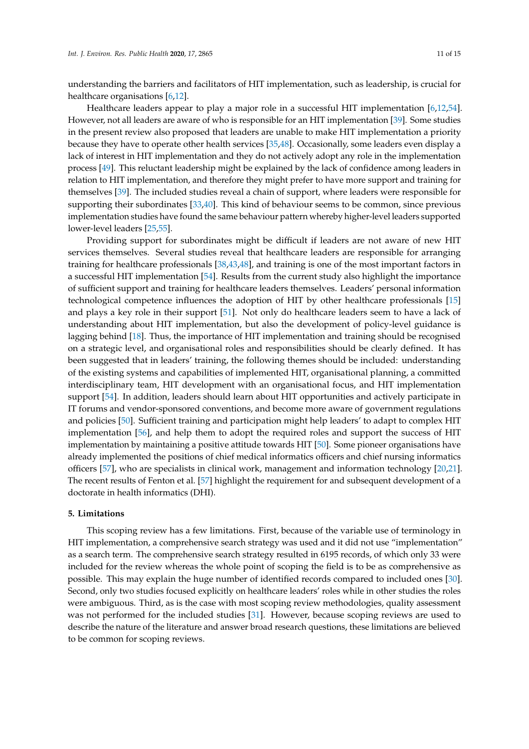understanding the barriers and facilitators of HIT implementation, such as leadership, is crucial for healthcare organisations [\[6](#page-11-6)[,12\]](#page-12-2).

Healthcare leaders appear to play a major role in a successful HIT implementation [\[6,](#page-11-6)[12,](#page-12-2)[54\]](#page-14-1). However, not all leaders are aware of who is responsible for an HIT implementation [\[39\]](#page-13-23). Some studies in the present review also proposed that leaders are unable to make HIT implementation a priority because they have to operate other health services [\[35](#page-13-12)[,48\]](#page-13-22). Occasionally, some leaders even display a lack of interest in HIT implementation and they do not actively adopt any role in the implementation process [\[49\]](#page-13-26). This reluctant leadership might be explained by the lack of confidence among leaders in relation to HIT implementation, and therefore they might prefer to have more support and training for themselves [\[39\]](#page-13-23). The included studies reveal a chain of support, where leaders were responsible for supporting their subordinates [\[33,](#page-13-18)[40\]](#page-13-16). This kind of behaviour seems to be common, since previous implementation studies have found the same behaviour pattern whereby higher-level leaders supported lower-level leaders [\[25](#page-12-15)[,55\]](#page-14-2).

Providing support for subordinates might be difficult if leaders are not aware of new HIT services themselves. Several studies reveal that healthcare leaders are responsible for arranging training for healthcare professionals [\[38](#page-13-19)[,43](#page-13-24)[,48\]](#page-13-22), and training is one of the most important factors in a successful HIT implementation [\[54\]](#page-14-1). Results from the current study also highlight the importance of sufficient support and training for healthcare leaders themselves. Leaders' personal information technological competence influences the adoption of HIT by other healthcare professionals [\[15\]](#page-12-5) and plays a key role in their support [\[51\]](#page-13-33). Not only do healthcare leaders seem to have a lack of understanding about HIT implementation, but also the development of policy-level guidance is lagging behind [\[18\]](#page-12-8). Thus, the importance of HIT implementation and training should be recognised on a strategic level, and organisational roles and responsibilities should be clearly defined. It has been suggested that in leaders' training, the following themes should be included: understanding of the existing systems and capabilities of implemented HIT, organisational planning, a committed interdisciplinary team, HIT development with an organisational focus, and HIT implementation support [\[54\]](#page-14-1). In addition, leaders should learn about HIT opportunities and actively participate in IT forums and vendor-sponsored conventions, and become more aware of government regulations and policies [\[50\]](#page-13-32). Sufficient training and participation might help leaders' to adapt to complex HIT implementation [\[56\]](#page-14-3), and help them to adopt the required roles and support the success of HIT implementation by maintaining a positive attitude towards HIT [\[50\]](#page-13-32). Some pioneer organisations have already implemented the positions of chief medical informatics officers and chief nursing informatics officers [\[57\]](#page-14-4), who are specialists in clinical work, management and information technology [\[20,](#page-12-10)[21\]](#page-12-11). The recent results of Fenton et al. [\[57\]](#page-14-4) highlight the requirement for and subsequent development of a doctorate in health informatics (DHI).

#### **5. Limitations**

This scoping review has a few limitations. First, because of the variable use of terminology in HIT implementation, a comprehensive search strategy was used and it did not use "implementation" as a search term. The comprehensive search strategy resulted in 6195 records, of which only 33 were included for the review whereas the whole point of scoping the field is to be as comprehensive as possible. This may explain the huge number of identified records compared to included ones [\[30\]](#page-12-20). Second, only two studies focused explicitly on healthcare leaders' roles while in other studies the roles were ambiguous. Third, as is the case with most scoping review methodologies, quality assessment was not performed for the included studies [\[31\]](#page-13-0). However, because scoping reviews are used to describe the nature of the literature and answer broad research questions, these limitations are believed to be common for scoping reviews.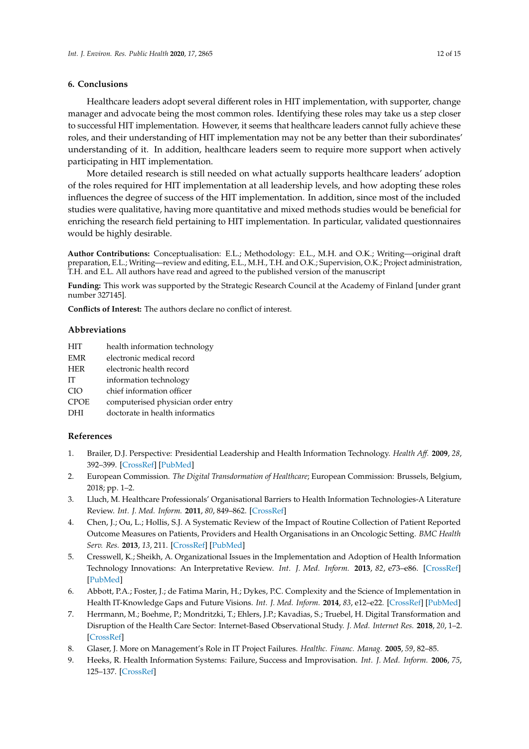#### **6. Conclusions**

Healthcare leaders adopt several different roles in HIT implementation, with supporter, change manager and advocate being the most common roles. Identifying these roles may take us a step closer to successful HIT implementation. However, it seems that healthcare leaders cannot fully achieve these roles, and their understanding of HIT implementation may not be any better than their subordinates' understanding of it. In addition, healthcare leaders seem to require more support when actively participating in HIT implementation.

More detailed research is still needed on what actually supports healthcare leaders' adoption of the roles required for HIT implementation at all leadership levels, and how adopting these roles influences the degree of success of the HIT implementation. In addition, since most of the included studies were qualitative, having more quantitative and mixed methods studies would be beneficial for enriching the research field pertaining to HIT implementation. In particular, validated questionnaires would be highly desirable.

**Author Contributions:** Conceptualisation: E.L.; Methodology: E.L., M.H. and O.K.; Writing—original draft preparation, E.L.; Writing—review and editing, E.L., M.H., T.H. and O.K.; Supervision, O.K.; Project administration, T.H. and E.L. All authors have read and agreed to the published version of the manuscript

**Funding:** This work was supported by the Strategic Research Council at the Academy of Finland [under grant number 327145].

**Conflicts of Interest:** The authors declare no conflict of interest.

#### **Abbreviations**

- EMR electronic medical record
- HER electronic health record
- IT information technology
- CIO chief information officer
- CPOE computerised physician order entry
- DHI doctorate in health informatics

#### **References**

- <span id="page-11-0"></span>1. Brailer, D.J. Perspective: Presidential Leadership and Health Information Technology. *Health A*ff*.* **2009**, *28*, 392–399. [\[CrossRef\]](http://dx.doi.org/10.1377/hlthaff.28.2.w392) [\[PubMed\]](http://www.ncbi.nlm.nih.gov/pubmed/19273817)
- <span id="page-11-1"></span>2. European Commission. *The Digital Transdormation of Healthcare*; European Commission: Brussels, Belgium, 2018; pp. 1–2.
- <span id="page-11-2"></span>3. Lluch, M. Healthcare Professionals' Organisational Barriers to Health Information Technologies-A Literature Review. *Int. J. Med. Inform.* **2011**, *80*, 849–862. [\[CrossRef\]](http://dx.doi.org/10.1016/j.ijmedinf.2011.09.005)
- <span id="page-11-3"></span>4. Chen, J.; Ou, L.; Hollis, S.J. A Systematic Review of the Impact of Routine Collection of Patient Reported Outcome Measures on Patients, Providers and Health Organisations in an Oncologic Setting. *BMC Health Serv. Res.* **2013**, *13*, 211. [\[CrossRef\]](http://dx.doi.org/10.1186/1472-6963-13-211) [\[PubMed\]](http://www.ncbi.nlm.nih.gov/pubmed/23758898)
- <span id="page-11-4"></span>5. Cresswell, K.; Sheikh, A. Organizational Issues in the Implementation and Adoption of Health Information Technology Innovations: An Interpretative Review. *Int. J. Med. Inform.* **2013**, *82*, e73–e86. [\[CrossRef\]](http://dx.doi.org/10.1016/j.ijmedinf.2012.10.007) [\[PubMed\]](http://www.ncbi.nlm.nih.gov/pubmed/23146626)
- <span id="page-11-6"></span>6. Abbott, P.A.; Foster, J.; de Fatima Marin, H.; Dykes, P.C. Complexity and the Science of Implementation in Health IT-Knowledge Gaps and Future Visions. *Int. J. Med. Inform.* **2014**, *83*, e12–e22. [\[CrossRef\]](http://dx.doi.org/10.1016/j.ijmedinf.2013.10.009) [\[PubMed\]](http://www.ncbi.nlm.nih.gov/pubmed/24444700)
- <span id="page-11-5"></span>7. Herrmann, M.; Boehme, P.; Mondritzki, T.; Ehlers, J.P.; Kavadias, S.; Truebel, H. Digital Transformation and Disruption of the Health Care Sector: Internet-Based Observational Study. *J. Med. Internet Res.* **2018**, *20*, 1–2. [\[CrossRef\]](http://dx.doi.org/10.2196/jmir.9498)
- <span id="page-11-7"></span>8. Glaser, J. More on Management's Role in IT Project Failures. *Healthc. Financ. Manag.* **2005**, *59*, 82–85.
- <span id="page-11-8"></span>9. Heeks, R. Health Information Systems: Failure, Success and Improvisation. *Int. J. Med. Inform.* **2006**, *75*, 125–137. [\[CrossRef\]](http://dx.doi.org/10.1016/j.ijmedinf.2005.07.024)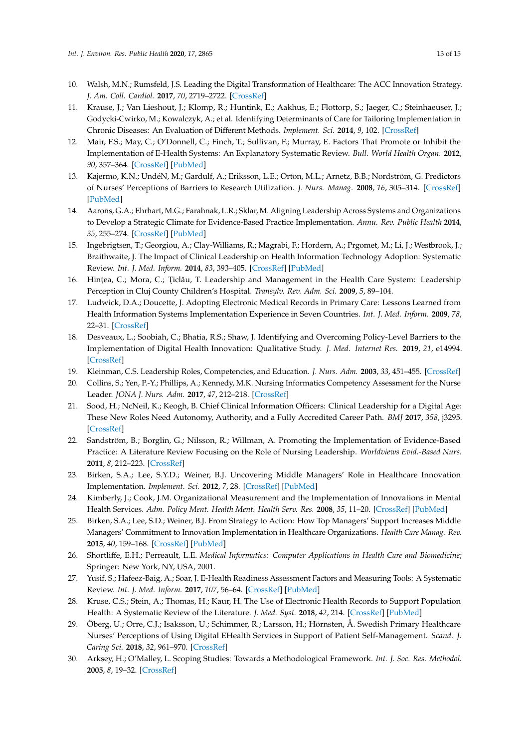- <span id="page-12-0"></span>10. Walsh, M.N.; Rumsfeld, J.S. Leading the Digital Transformation of Healthcare: The ACC Innovation Strategy. *J. Am. Coll. Cardiol.* **2017**, *70*, 2719–2722. [\[CrossRef\]](http://dx.doi.org/10.1016/j.jacc.2017.10.020)
- <span id="page-12-1"></span>11. Krause, J.; Van Lieshout, J.; Klomp, R.; Huntink, E.; Aakhus, E.; Flottorp, S.; Jaeger, C.; Steinhaeuser, J.; Godycki-Cwirko, M.; Kowalczyk, A.; et al. Identifying Determinants of Care for Tailoring Implementation in Chronic Diseases: An Evaluation of Different Methods. *Implement. Sci.* **2014**, *9*, 102. [\[CrossRef\]](http://dx.doi.org/10.1186/s13012-014-0102-3)
- <span id="page-12-2"></span>12. Mair, F.S.; May, C.; O'Donnell, C.; Finch, T.; Sullivan, F.; Murray, E. Factors That Promote or Inhibit the Implementation of E-Health Systems: An Explanatory Systematic Review. *Bull. World Health Organ.* **2012**, *90*, 357–364. [\[CrossRef\]](http://dx.doi.org/10.2471/BLT.11.099424) [\[PubMed\]](http://www.ncbi.nlm.nih.gov/pubmed/22589569)
- <span id="page-12-3"></span>13. Kajermo, K.N.; UndéN, M.; Gardulf, A.; Eriksson, L.E.; Orton, M.L.; Arnetz, B.B.; Nordström, G. Predictors of Nurses' Perceptions of Barriers to Research Utilization. *J. Nurs. Manag.* **2008**, *16*, 305–314. [\[CrossRef\]](http://dx.doi.org/10.1111/j.1365-2834.2007.00770.x) [\[PubMed\]](http://www.ncbi.nlm.nih.gov/pubmed/18324990)
- <span id="page-12-4"></span>14. Aarons, G.A.; Ehrhart, M.G.; Farahnak, L.R.; Sklar, M. Aligning Leadership Across Systems and Organizations to Develop a Strategic Climate for Evidence-Based Practice Implementation. *Annu. Rev. Public Health* **2014**, *35*, 255–274. [\[CrossRef\]](http://dx.doi.org/10.1146/annurev-publhealth-032013-182447) [\[PubMed\]](http://www.ncbi.nlm.nih.gov/pubmed/24641560)
- <span id="page-12-5"></span>15. Ingebrigtsen, T.; Georgiou, A.; Clay-Williams, R.; Magrabi, F.; Hordern, A.; Prgomet, M.; Li, J.; Westbrook, J.; Braithwaite, J. The Impact of Clinical Leadership on Health Information Technology Adoption: Systematic Review. *Int. J. Med. Inform.* **2014**, *83*, 393–405. [\[CrossRef\]](http://dx.doi.org/10.1016/j.ijmedinf.2014.02.005) [\[PubMed\]](http://www.ncbi.nlm.nih.gov/pubmed/24656180)
- <span id="page-12-6"></span>16. Hintea, C.; Mora, C.; Ticlău, T. Leadership and Management in the Health Care System: Leadership Perception in Cluj County Children's Hospital. *Transylv. Rev. Adm. Sci.* **2009**, *5*, 89–104.
- <span id="page-12-7"></span>17. Ludwick, D.A.; Doucette, J. Adopting Electronic Medical Records in Primary Care: Lessons Learned from Health Information Systems Implementation Experience in Seven Countries. *Int. J. Med. Inform.* **2009**, *78*, 22–31. [\[CrossRef\]](http://dx.doi.org/10.1016/j.ijmedinf.2008.06.005)
- <span id="page-12-8"></span>18. Desveaux, L.; Soobiah, C.; Bhatia, R.S.; Shaw, J. Identifying and Overcoming Policy-Level Barriers to the Implementation of Digital Health Innovation: Qualitative Study. *J. Med. Internet Res.* **2019**, *21*, e14994. [\[CrossRef\]](http://dx.doi.org/10.2196/14994)
- <span id="page-12-9"></span>19. Kleinman, C.S. Leadership Roles, Competencies, and Education. *J. Nurs. Adm.* **2003**, *33*, 451–455. [\[CrossRef\]](http://dx.doi.org/10.1097/00005110-200309000-00005)
- <span id="page-12-10"></span>20. Collins, S.; Yen, P.-Y.; Phillips, A.; Kennedy, M.K. Nursing Informatics Competency Assessment for the Nurse Leader. *JONA J. Nurs. Adm.* **2017**, *47*, 212–218. [\[CrossRef\]](http://dx.doi.org/10.1097/NNA.0000000000000467)
- <span id="page-12-11"></span>21. Sood, H.; NcNeil, K.; Keogh, B. Chief Clinical Information Officers: Clinical Leadership for a Digital Age: These New Roles Need Autonomy, Authority, and a Fully Accredited Career Path. *BMJ* **2017**, *358*, j3295. [\[CrossRef\]](http://dx.doi.org/10.1136/bmj.j3295)
- <span id="page-12-12"></span>22. Sandström, B.; Borglin, G.; Nilsson, R.; Willman, A. Promoting the Implementation of Evidence-Based Practice: A Literature Review Focusing on the Role of Nursing Leadership. *Worldviews Evid.-Based Nurs.* **2011**, *8*, 212–223. [\[CrossRef\]](http://dx.doi.org/10.1111/j.1741-6787.2011.00216.x)
- <span id="page-12-13"></span>23. Birken, S.A.; Lee, S.Y.D.; Weiner, B.J. Uncovering Middle Managers' Role in Healthcare Innovation Implementation. *Implement. Sci.* **2012**, *7*, 28. [\[CrossRef\]](http://dx.doi.org/10.1186/1748-5908-7-28) [\[PubMed\]](http://www.ncbi.nlm.nih.gov/pubmed/22472001)
- <span id="page-12-14"></span>24. Kimberly, J.; Cook, J.M. Organizational Measurement and the Implementation of Innovations in Mental Health Services. *Adm. Policy Ment. Health Ment. Health Serv. Res.* **2008**, *35*, 11–20. [\[CrossRef\]](http://dx.doi.org/10.1007/s10488-007-0143-x) [\[PubMed\]](http://www.ncbi.nlm.nih.gov/pubmed/17990096)
- <span id="page-12-15"></span>25. Birken, S.A.; Lee, S.D.; Weiner, B.J. From Strategy to Action: How Top Managers' Support Increases Middle Managers' Commitment to Innovation Implementation in Healthcare Organizations. *Health Care Manag. Rev.* **2015**, *40*, 159–168. [\[CrossRef\]](http://dx.doi.org/10.1097/HMR.0000000000000018) [\[PubMed\]](http://www.ncbi.nlm.nih.gov/pubmed/24566252)
- <span id="page-12-16"></span>26. Shortliffe, E.H.; Perreault, L.E. *Medical Informatics: Computer Applications in Health Care and Biomedicine*; Springer: New York, NY, USA, 2001.
- <span id="page-12-17"></span>27. Yusif, S.; Hafeez-Baig, A.; Soar, J. E-Health Readiness Assessment Factors and Measuring Tools: A Systematic Review. *Int. J. Med. Inform.* **2017**, *107*, 56–64. [\[CrossRef\]](http://dx.doi.org/10.1016/j.ijmedinf.2017.08.006) [\[PubMed\]](http://www.ncbi.nlm.nih.gov/pubmed/29029692)
- <span id="page-12-18"></span>28. Kruse, C.S.; Stein, A.; Thomas, H.; Kaur, H. The Use of Electronic Health Records to Support Population Health: A Systematic Review of the Literature. *J. Med. Syst.* **2018**, *42*, 214. [\[CrossRef\]](http://dx.doi.org/10.1007/s10916-018-1075-6) [\[PubMed\]](http://www.ncbi.nlm.nih.gov/pubmed/30269237)
- <span id="page-12-19"></span>29. Öberg, U.; Orre, C.J.; Isaksson, U.; Schimmer, R.; Larsson, H.; Hörnsten, Å. Swedish Primary Healthcare Nurses' Perceptions of Using Digital EHealth Services in Support of Patient Self-Management. *Scand. J. Caring Sci.* **2018**, *32*, 961–970. [\[CrossRef\]](http://dx.doi.org/10.1111/scs.12534)
- <span id="page-12-20"></span>30. Arksey, H.; O'Malley, L. Scoping Studies: Towards a Methodological Framework. *Int. J. Soc. Res. Methodol.* **2005**, *8*, 19–32. [\[CrossRef\]](http://dx.doi.org/10.1080/1364557032000119616)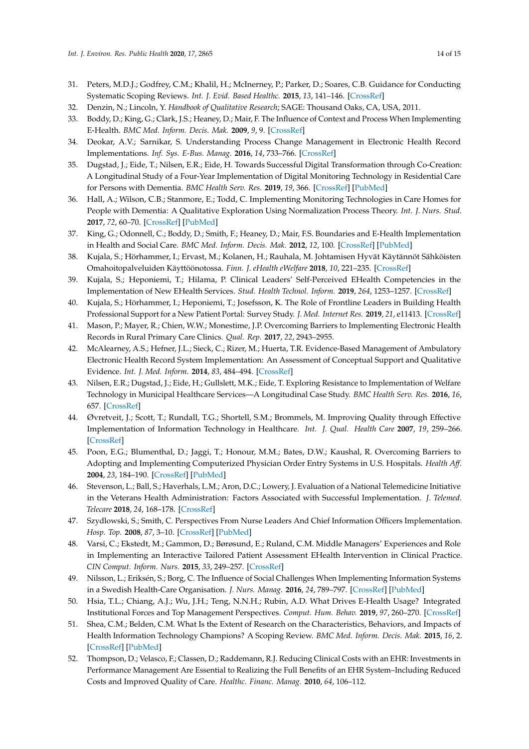- <span id="page-13-9"></span><span id="page-13-8"></span><span id="page-13-7"></span><span id="page-13-6"></span><span id="page-13-5"></span><span id="page-13-4"></span><span id="page-13-3"></span><span id="page-13-2"></span><span id="page-13-0"></span>31. Peters, M.D.J.; Godfrey, C.M.; Khalil, H.; McInerney, P.; Parker, D.; Soares, C.B. Guidance for Conducting Systematic Scoping Reviews. *Int. J. Evid. Based Healthc.* **2015**, *13*, 141–146. [\[CrossRef\]](http://dx.doi.org/10.1097/XEB.0000000000000050)
- <span id="page-13-10"></span><span id="page-13-1"></span>32. Denzin, N.; Lincoln, Y. *Handbook of Qualitative Research*; SAGE: Thousand Oaks, CA, USA, 2011.
- <span id="page-13-18"></span><span id="page-13-11"></span>33. Boddy, D.; King, G.; Clark, J.S.; Heaney, D.; Mair, F. The Influence of Context and Process When Implementing E-Health. *BMC Med. Inform. Decis. Mak.* **2009**, *9*, 9. [\[CrossRef\]](http://dx.doi.org/10.1186/1472-6947-9-9)
- <span id="page-13-29"></span>34. Deokar, A.V.; Sarnikar, S. Understanding Process Change Management in Electronic Health Record Implementations. *Inf. Sys. E-Bus. Manag.* **2016**, *14*, 733–766. [\[CrossRef\]](http://dx.doi.org/10.1007/s10257-014-0250-7)
- <span id="page-13-12"></span>35. Dugstad, J.; Eide, T.; Nilsen, E.R.; Eide, H. Towards Successful Digital Transformation through Co-Creation: A Longitudinal Study of a Four-Year Implementation of Digital Monitoring Technology in Residential Care for Persons with Dementia. *BMC Health Serv. Res.* **2019**, *19*, 366. [\[CrossRef\]](http://dx.doi.org/10.1186/s12913-019-4191-1) [\[PubMed\]](http://www.ncbi.nlm.nih.gov/pubmed/31182093)
- <span id="page-13-31"></span><span id="page-13-13"></span>36. Hall, A.; Wilson, C.B.; Stanmore, E.; Todd, C. Implementing Monitoring Technologies in Care Homes for People with Dementia: A Qualitative Exploration Using Normalization Process Theory. *Int. J. Nurs. Stud.* **2017**, *72*, 60–70. [\[CrossRef\]](http://dx.doi.org/10.1016/j.ijnurstu.2017.04.008) [\[PubMed\]](http://www.ncbi.nlm.nih.gov/pubmed/28494333)
- <span id="page-13-28"></span><span id="page-13-14"></span>37. King, G.; Odonnell, C.; Boddy, D.; Smith, F.; Heaney, D.; Mair, F.S. Boundaries and E-Health Implementation in Health and Social Care. *BMC Med. Inform. Decis. Mak.* **2012**, *12*, 100. [\[CrossRef\]](http://dx.doi.org/10.1186/1472-6947-12-100) [\[PubMed\]](http://www.ncbi.nlm.nih.gov/pubmed/22958223)
- <span id="page-13-19"></span><span id="page-13-15"></span>38. Kujala, S.; Hörhammer, I.; Ervast, M.; Kolanen, H.; Rauhala, M. Johtamisen Hyvät Käytännöt Sähköisten Omahoitopalveluiden Käyttöönotossa. *Finn. J. eHealth eWelfare* **2018**, *10*, 221–235. [\[CrossRef\]](http://dx.doi.org/10.23996/fjhw.69140)
- <span id="page-13-23"></span>39. Kujala, S.; Heponiemi, T.; Hilama, P. Clinical Leaders' Self-Perceived EHealth Competencies in the Implementation of New EHealth Services. *Stud. Health Technol. Inform.* **2019**, *264*, 1253–1257. [\[CrossRef\]](http://dx.doi.org/10.3233/SHTI190427)
- <span id="page-13-16"></span>40. Kujala, S.; Hörhammer, I.; Heponiemi, T.; Josefsson, K. The Role of Frontline Leaders in Building Health Professional Support for a New Patient Portal: Survey Study. *J. Med. Internet Res.* **2019**, *21*, e11413. [\[CrossRef\]](http://dx.doi.org/10.2196/11413)
- <span id="page-13-17"></span>41. Mason, P.; Mayer, R.; Chien, W.W.; Monestime, J.P. Overcoming Barriers to Implementing Electronic Health Records in Rural Primary Care Clinics. *Qual. Rep.* **2017**, *22*, 2943–2955.
- <span id="page-13-20"></span>42. McAlearney, A.S.; Hefner, J.L.; Sieck, C.; Rizer, M.; Huerta, T.R. Evidence-Based Management of Ambulatory Electronic Health Record System Implementation: An Assessment of Conceptual Support and Qualitative Evidence. *Int. J. Med. Inform.* **2014**, *83*, 484–494. [\[CrossRef\]](http://dx.doi.org/10.1016/j.ijmedinf.2014.04.002)
- <span id="page-13-24"></span>43. Nilsen, E.R.; Dugstad, J.; Eide, H.; Gullslett, M.K.; Eide, T. Exploring Resistance to Implementation of Welfare Technology in Municipal Healthcare Services—A Longitudinal Case Study. *BMC Health Serv. Res.* **2016**, *16*, 657. [\[CrossRef\]](http://dx.doi.org/10.1186/s12913-016-1913-5)
- <span id="page-13-30"></span>44. Øvretveit, J.; Scott, T.; Rundall, T.G.; Shortell, S.M.; Brommels, M. Improving Quality through Effective Implementation of Information Technology in Healthcare. *Int. J. Qual. Health Care* **2007**, *19*, 259–266. [\[CrossRef\]](http://dx.doi.org/10.1093/intqhc/mzm031)
- <span id="page-13-27"></span>45. Poon, E.G.; Blumenthal, D.; Jaggi, T.; Honour, M.M.; Bates, D.W.; Kaushal, R. Overcoming Barriers to Adopting and Implementing Computerized Physician Order Entry Systems in U.S. Hospitals. *Health A*ff*.* **2004**, *23*, 184–190. [\[CrossRef\]](http://dx.doi.org/10.1377/hlthaff.23.4.184) [\[PubMed\]](http://www.ncbi.nlm.nih.gov/pubmed/15318579)
- <span id="page-13-25"></span>46. Stevenson, L.; Ball, S.; Haverhals, L.M.; Aron, D.C.; Lowery, J. Evaluation of a National Telemedicine Initiative in the Veterans Health Administration: Factors Associated with Successful Implementation. *J. Telemed. Telecare* **2018**, *24*, 168–178. [\[CrossRef\]](http://dx.doi.org/10.1177/1357633X16677676)
- <span id="page-13-21"></span>47. Szydlowski, S.; Smith, C. Perspectives From Nurse Leaders And Chief Information Officers Implementation. *Hosp. Top.* **2008**, *87*, 3–10. [\[CrossRef\]](http://dx.doi.org/10.3200/HTPS.87.1.3-9) [\[PubMed\]](http://www.ncbi.nlm.nih.gov/pubmed/19103582)
- <span id="page-13-22"></span>48. Varsi, C.; Ekstedt, M.; Gammon, D.; Børøsund, E.; Ruland, C.M. Middle Managers' Experiences and Role in Implementing an Interactive Tailored Patient Assessment EHealth Intervention in Clinical Practice. *CIN Comput. Inform. Nurs.* **2015**, *33*, 249–257. [\[CrossRef\]](http://dx.doi.org/10.1097/CIN.0000000000000158)
- <span id="page-13-26"></span>49. Nilsson, L.; Eriksén, S.; Borg, C. The Influence of Social Challenges When Implementing Information Systems in a Swedish Health-Care Organisation. *J. Nurs. Manag.* **2016**, *24*, 789–797. [\[CrossRef\]](http://dx.doi.org/10.1111/jonm.12383) [\[PubMed\]](http://www.ncbi.nlm.nih.gov/pubmed/27121147)
- <span id="page-13-32"></span>50. Hsia, T.L.; Chiang, A.J.; Wu, J.H.; Teng, N.N.H.; Rubin, A.D. What Drives E-Health Usage? Integrated Institutional Forces and Top Management Perspectives. *Comput. Hum. Behav.* **2019**, *97*, 260–270. [\[CrossRef\]](http://dx.doi.org/10.1016/j.chb.2019.01.010)
- <span id="page-13-33"></span>51. Shea, C.M.; Belden, C.M. What Is the Extent of Research on the Characteristics, Behaviors, and Impacts of Health Information Technology Champions? A Scoping Review. *BMC Med. Inform. Decis. Mak.* **2015**, *16*, 2. [\[CrossRef\]](http://dx.doi.org/10.1186/s12911-016-0240-4) [\[PubMed\]](http://www.ncbi.nlm.nih.gov/pubmed/26754739)
- <span id="page-13-34"></span>52. Thompson, D.; Velasco, F.; Classen, D.; Raddemann, R.J. Reducing Clinical Costs with an EHR: Investments in Performance Management Are Essential to Realizing the Full Benefits of an EHR System–Including Reduced Costs and Improved Quality of Care. *Healthc. Financ. Manag.* **2010**, *64*, 106–112.